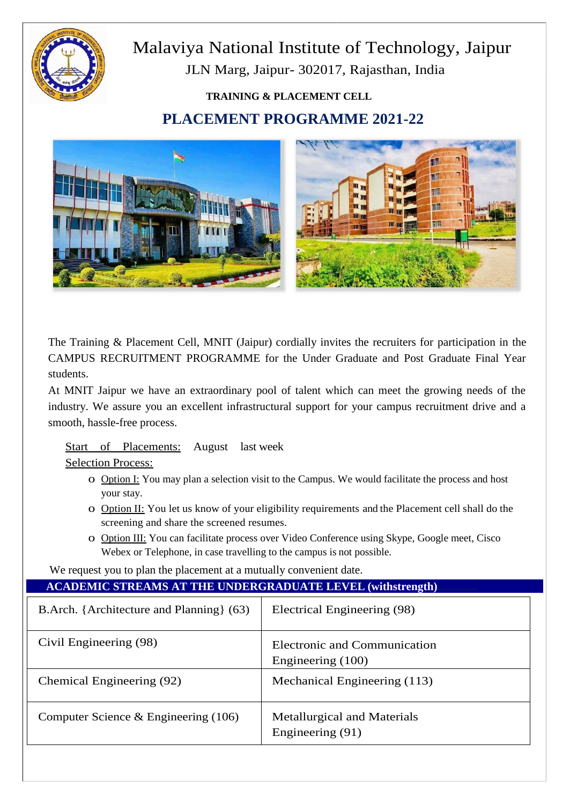

# Malaviya National Institute of Technology, Jaipur JLN Marg, Jaipur- 302017, Rajasthan, India

## **TRAINING & PLACEMENT CELL PLACEMENT PROGRAMME 2021-22**



The Training & Placement Cell, MNIT (Jaipur) cordially invites the recruiters for participation in the CAMPUS RECRUITMENT PROGRAMME for the Under Graduate and Post Graduate Final Year students.

At MNIT Jaipur we have an extraordinary pool of talent which can meet the growing needs of the industry. We assure you an excellent infrastructural support for your campus recruitment drive and a smooth, hassle-free process.

### Start of Placements: August last week

Selection Process:

- o Option I: You may plan a selection visit to the Campus. We would facilitate the process and host your stay.
- o Option II: You let us know of your eligibility requirements and the Placement cell shall do the screening and share the screened resumes.
- o Option III: You can facilitate process over Video Conference using Skype, Google meet, Cisco Webex or Telephone, in case travelling to the campus is not possible.

We request you to plan the placement at a mutually convenient date.

### **ACADEMIC STREAMS AT THE UNDERGRADUATE LEVEL (withstrength)**

| B.Arch. {Architecture and Planning} (63) | Electrical Engineering (98)                       |
|------------------------------------------|---------------------------------------------------|
| Civil Engineering (98)                   | Electronic and Communication<br>Engineering (100) |
| Chemical Engineering (92)                | Mechanical Engineering (113)                      |
| Computer Science $\&$ Engineering (106)  | Metallurgical and Materials<br>Engineering (91)   |